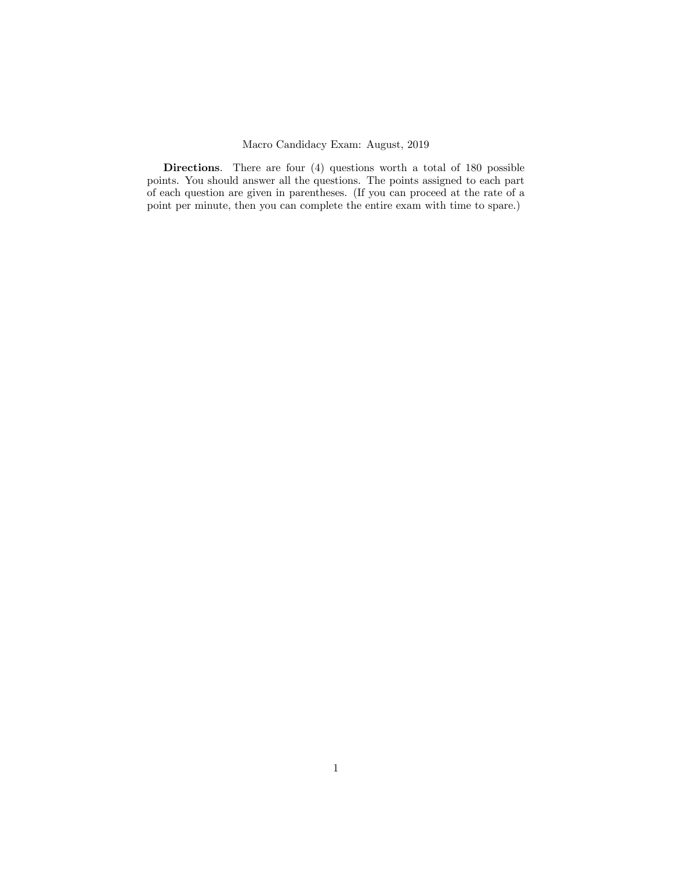# Macro Candidacy Exam: August, 2019

Directions. There are four (4) questions worth a total of 180 possible points. You should answer all the questions. The points assigned to each part of each question are given in parentheses. (If you can proceed at the rate of a point per minute, then you can complete the entire exam with time to spare.)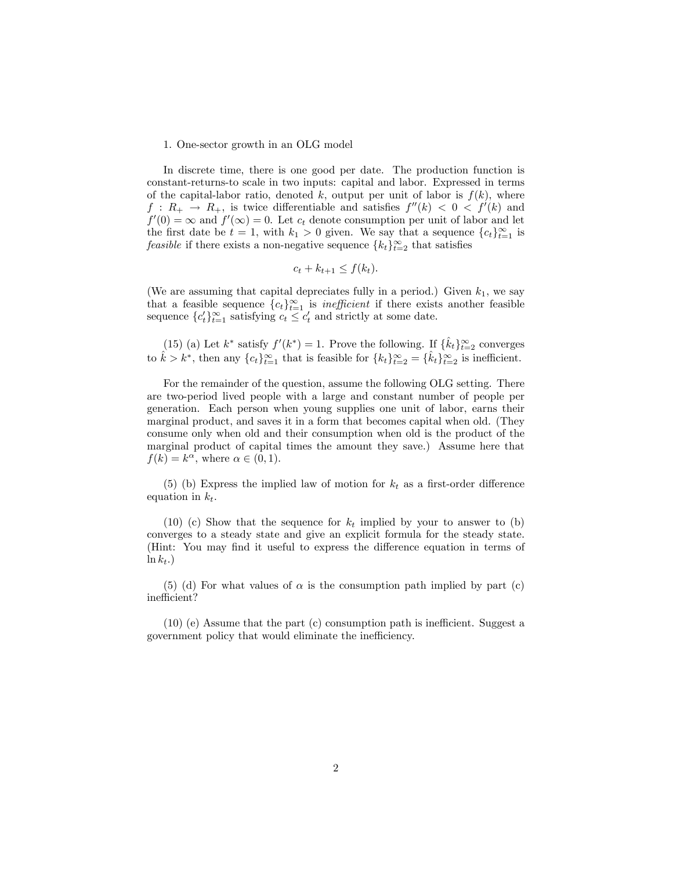# 1. One-sector growth in an OLG model

In discrete time, there is one good per date. The production function is constant-returns-to scale in two inputs: capital and labor. Expressed in terms of the capital-labor ratio, denoted k, output per unit of labor is  $f(k)$ , where  $f: R_+ \to R_+$ , is twice differentiable and satisfies  $f''(k) < 0 < f'(k)$  and  $f'(0) = \infty$  and  $f'(\infty) = 0$ . Let  $c_t$  denote consumption per unit of labor and let the first date be  $t = 1$ , with  $k_1 > 0$  given. We say that a sequence  $\{c_t\}_{t=1}^{\infty}$  is feasible if there exists a non-negative sequence  $\{k_t\}_{t=2}^{\infty}$  that satisfies

$$
c_t + k_{t+1} \le f(k_t).
$$

(We are assuming that capital depreciates fully in a period.) Given  $k_1$ , we say that a feasible sequence  ${c_t}_{t=1}^{\infty}$  is *inefficient* if there exists another feasible sequence  ${c_t'}_{t=1}^{\infty}$  satisfying  $c_t \leq c_t'$  and strictly at some date.

(15) (a) Let  $k^*$  satisfy  $f'(k^*) = 1$ . Prove the following. If  $\{\hat{k}_t\}_{t=2}^{\infty}$  converges to  $\hat{k} > k^*$ , then any  $\{c_t\}_{t=1}^{\infty}$  that is feasible for  $\{k_t\}_{t=2}^{\infty} = \{\hat{k}_t\}_{t=2}^{\infty}$  is inefficient.

For the remainder of the question, assume the following OLG setting. There are two-period lived people with a large and constant number of people per generation. Each person when young supplies one unit of labor, earns their marginal product, and saves it in a form that becomes capital when old. (They consume only when old and their consumption when old is the product of the marginal product of capital times the amount they save.) Assume here that  $f(k) = k^{\alpha}$ , where  $\alpha \in (0, 1)$ .

(5) (b) Express the implied law of motion for  $k_t$  as a first-order difference equation in  $k_t$ .

(10) (c) Show that the sequence for  $k_t$  implied by your to answer to (b) converges to a steady state and give an explicit formula for the steady state. (Hint: You may find it useful to express the difference equation in terms of  $\ln k_t$ .)

(5) (d) For what values of  $\alpha$  is the consumption path implied by part (c) inefficient?

 $(10)$  (e) Assume that the part (c) consumption path is inefficient. Suggest a government policy that would eliminate the inefficiency.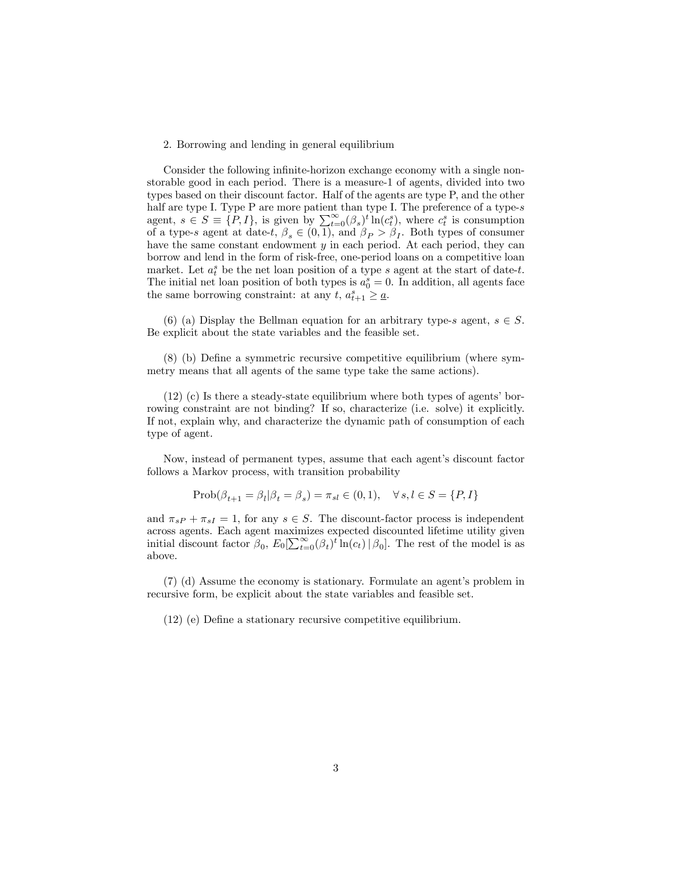#### 2. Borrowing and lending in general equilibrium

Consider the following infinite-horizon exchange economy with a single nonstorable good in each period. There is a measure-1 of agents, divided into two types based on their discount factor. Half of the agents are type P, and the other half are type I. Type P are more patient than type I. The preference of a type-s agent,  $s \in S \equiv \{P, I\}$ , is given by  $\sum_{t=0}^{\infty} (\beta_s)^t \ln(c_t^s)$ , where  $c_t^s$  is consumption of a type-s agent at date-t,  $\beta_s \in (0,1)$ , and  $\beta_P > \beta_I$ . Both types of consumer have the same constant endowment  $y$  in each period. At each period, they can borrow and lend in the form of risk-free, one-period loans on a competitive loan market. Let  $a_t^s$  be the net loan position of a type s agent at the start of date-t. The initial net loan position of both types is  $a_0^s = 0$ . In addition, all agents face the same borrowing constraint: at any  $t, a_{t+1}^s \geq \underline{a}$ .

(6) (a) Display the Bellman equation for an arbitrary type-s agent,  $s \in S$ . Be explicit about the state variables and the feasible set.

(8) (b) DeÖne a symmetric recursive competitive equilibrium (where symmetry means that all agents of the same type take the same actions).

 $(12)$  (c) Is there a steady-state equilibrium where both types of agents' borrowing constraint are not binding? If so, characterize (i.e. solve) it explicitly. If not, explain why, and characterize the dynamic path of consumption of each type of agent.

Now, instead of permanent types, assume that each agent's discount factor follows a Markov process, with transition probability

$$
Prob(\beta_{t+1} = \beta_l | \beta_t = \beta_s) = \pi_{sl} \in (0, 1), \quad \forall s, l \in S = \{P, I\}
$$

and  $\pi_{sP} + \pi_{sI} = 1$ , for any  $s \in S$ . The discount-factor process is independent across agents. Each agent maximizes expected discounted lifetime utility given initial discount factor  $\beta_0$ ,  $E_0[\sum_{t=0}^{\infty}(\beta_t)^t \ln(c_t) | \beta_0]$ . The rest of the model is as above.

 $(7)$  (d) Assume the economy is stationary. Formulate an agent's problem in recursive form, be explicit about the state variables and feasible set.

(12) (e) DeÖne a stationary recursive competitive equilibrium.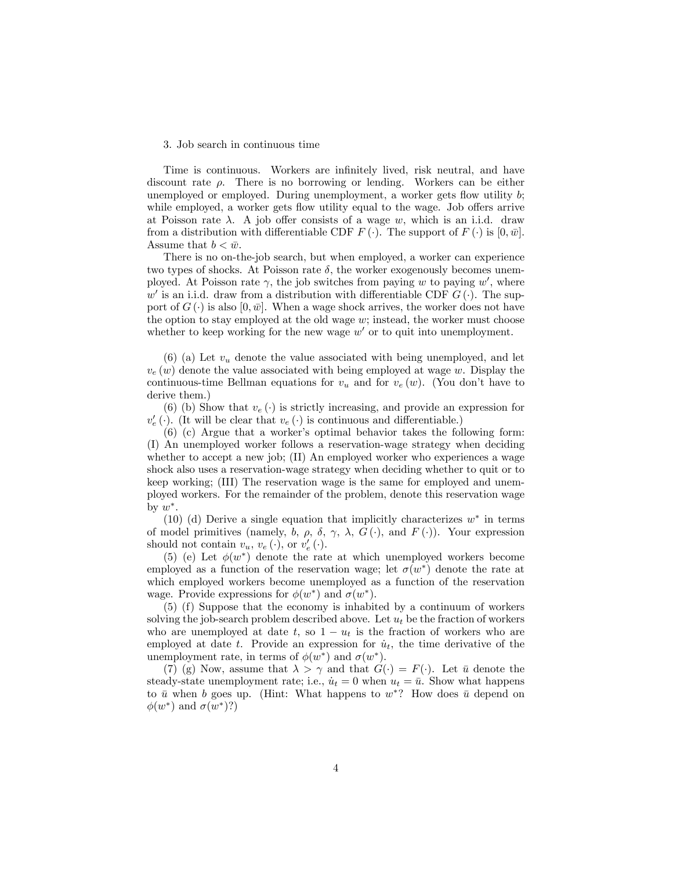# 3. Job search in continuous time

Time is continuous. Workers are infinitely lived, risk neutral, and have discount rate  $\rho$ . There is no borrowing or lending. Workers can be either unemployed or employed. During unemployment, a worker gets flow utility  $b$ ; while employed, a worker gets flow utility equal to the wage. Job offers arrive at Poisson rate  $\lambda$ . A job offer consists of a wage w, which is an i.i.d. draw from a distribution with differentiable CDF  $F(\cdot)$ . The support of  $F(\cdot)$  is  $[0, \bar{w}]$ . Assume that  $b < \bar{w}$ .

There is no on-the-job search, but when employed, a worker can experience two types of shocks. At Poisson rate  $\delta$ , the worker exogenously becomes unemployed. At Poisson rate  $\gamma$ , the job switches from paying w to paying w', where  $w'$  is an i.i.d. draw from a distribution with differentiable CDF  $G(\cdot)$ . The support of  $G(\cdot)$  is also  $[0, \bar{w}]$ . When a wage shock arrives, the worker does not have the option to stay employed at the old wage  $w$ ; instead, the worker must choose whether to keep working for the new wage  $w'$  or to quit into unemployment.

(6) (a) Let  $v_u$  denote the value associated with being unemployed, and let  $v_e(w)$  denote the value associated with being employed at wage w. Display the continuous-time Bellman equations for  $v_u$  and for  $v_e(w)$ . (You don't have to derive them.)

(6) (b) Show that  $v_e(\cdot)$  is strictly increasing, and provide an expression for  $v'_e$  (). (It will be clear that  $v_e$  () is continuous and differentiable.)

 $(6)$  (c) Argue that a worker's optimal behavior takes the following form: (I) An unemployed worker follows a reservation-wage strategy when deciding whether to accept a new job; (II) An employed worker who experiences a wage shock also uses a reservation-wage strategy when deciding whether to quit or to keep working; (III) The reservation wage is the same for employed and unemployed workers. For the remainder of the problem, denote this reservation wage by  $w^*$ .

(10) (d) Derive a single equation that implicitly characterizes  $w^*$  in terms of model primitives (namely, b,  $\rho$ ,  $\delta$ ,  $\gamma$ ,  $\lambda$ ,  $G(\cdot)$ , and  $F(\cdot)$ ). Your expression should not contain  $v_u, v_e(\cdot)$ , or  $v'_e(\cdot)$ .

(5) (e) Let  $\phi(w^*)$  denote the rate at which unemployed workers become employed as a function of the reservation wage; let  $\sigma(w^*)$  denote the rate at which employed workers become unemployed as a function of the reservation wage. Provide expressions for  $\phi(w^*)$  and  $\sigma(w^*)$ .

(5) (f) Suppose that the economy is inhabited by a continuum of workers solving the job-search problem described above. Let  $u_t$  be the fraction of workers who are unemployed at date t, so  $1 - u_t$  is the fraction of workers who are employed at date t. Provide an expression for  $\dot{u}_t$ , the time derivative of the unemployment rate, in terms of  $\phi(w^*)$  and  $\sigma(w^*)$ .

(7) (g) Now, assume that  $\lambda > \gamma$  and that  $G(\cdot) = F(\cdot)$ . Let  $\bar{u}$  denote the steady-state unemployment rate; i.e.,  $\dot{u}_t = 0$  when  $u_t = \bar{u}$ . Show what happens to  $\bar{u}$  when b goes up. (Hint: What happens to  $w^*$ ? How does  $\bar{u}$  depend on  $\phi(w^*)$  and  $\sigma(w^*)$ ?